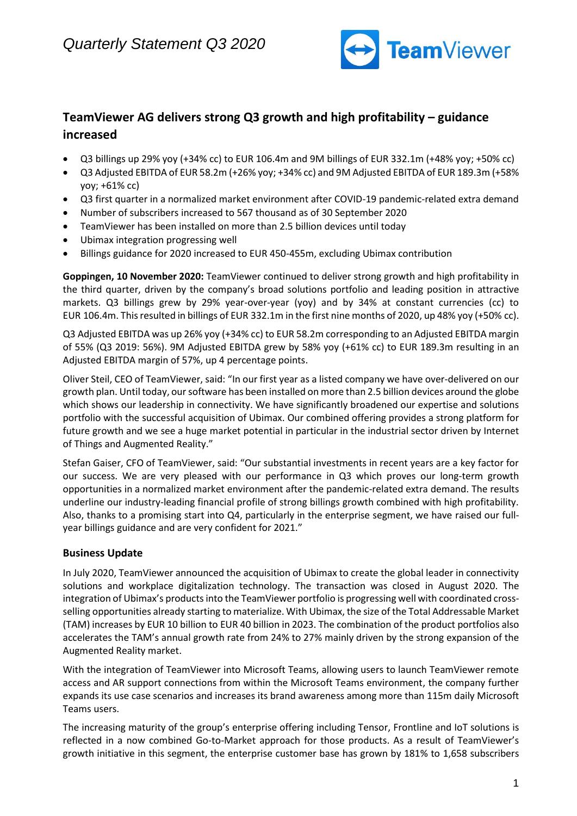

# **TeamViewer AG delivers strong Q3 growth and high profitability – guidance increased**

- Q3 billings up 29% yoy (+34% cc) to EUR 106.4m and 9M billings of EUR 332.1m (+48% yoy; +50% cc)
- Q3 Adjusted EBITDA of EUR 58.2m (+26% yoy; +34% cc) and 9M Adjusted EBITDA of EUR 189.3m (+58% yoy; +61% cc)
- Q3 first quarter in a normalized market environment after COVID-19 pandemic-related extra demand
- Number of subscribers increased to 567 thousand as of 30 September 2020
- TeamViewer has been installed on more than 2.5 billion devices until today
- Ubimax integration progressing well
- Billings guidance for 2020 increased to EUR 450-455m, excluding Ubimax contribution

**Goppingen, 10 November 2020:** TeamViewer continued to deliver strong growth and high profitability in the third quarter, driven by the company's broad solutions portfolio and leading position in attractive markets. Q3 billings grew by 29% year-over-year (yoy) and by 34% at constant currencies (cc) to EUR 106.4m. This resulted in billings of EUR 332.1m in the first nine months of 2020, up 48% yoy (+50% cc).

Q3 Adjusted EBITDA was up 26% yoy (+34% cc) to EUR 58.2m corresponding to an Adjusted EBITDA margin of 55% (Q3 2019: 56%). 9M Adjusted EBITDA grew by 58% yoy (+61% cc) to EUR 189.3m resulting in an Adjusted EBITDA margin of 57%, up 4 percentage points.

Oliver Steil, CEO of TeamViewer, said: "In our first year as a listed company we have over-delivered on our growth plan. Until today, our software has been installed on more than 2.5 billion devices around the globe which shows our leadership in connectivity. We have significantly broadened our expertise and solutions portfolio with the successful acquisition of Ubimax. Our combined offering provides a strong platform for future growth and we see a huge market potential in particular in the industrial sector driven by Internet of Things and Augmented Reality."

Stefan Gaiser, CFO of TeamViewer, said: "Our substantial investments in recent years are a key factor for our success. We are very pleased with our performance in Q3 which proves our long-term growth opportunities in a normalized market environment after the pandemic-related extra demand. The results underline our industry-leading financial profile of strong billings growth combined with high profitability. Also, thanks to a promising start into Q4, particularly in the enterprise segment, we have raised our fullyear billings guidance and are very confident for 2021."

# **Business Update**

In July 2020, TeamViewer announced the acquisition of Ubimax to create the global leader in connectivity solutions and workplace digitalization technology. The transaction was closed in August 2020. The integration of Ubimax's products into the TeamViewer portfolio is progressing well with coordinated crossselling opportunities already starting to materialize. With Ubimax, the size of the Total Addressable Market (TAM) increases by EUR 10 billion to EUR 40 billion in 2023. The combination of the product portfolios also accelerates the TAM's annual growth rate from 24% to 27% mainly driven by the strong expansion of the Augmented Reality market.

With the integration of TeamViewer into Microsoft Teams, allowing users to launch TeamViewer remote access and AR support connections from within the Microsoft Teams environment, the company further expands its use case scenarios and increases its brand awareness among more than 115m daily Microsoft Teams users.

The increasing maturity of the group's enterprise offering including Tensor, Frontline and IoT solutions is reflected in a now combined Go-to-Market approach for those products. As a result of TeamViewer's growth initiative in this segment, the enterprise customer base has grown by 181% to 1,658 subscribers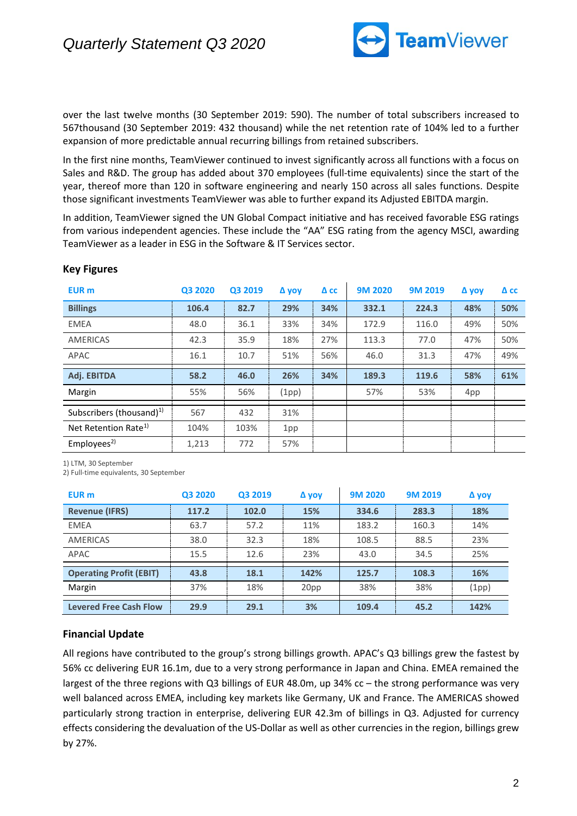

over the last twelve months (30 September 2019: 590). The number of total subscribers increased to 567thousand (30 September 2019: 432 thousand) while the net retention rate of 104% led to a further expansion of more predictable annual recurring billings from retained subscribers.

In the first nine months, TeamViewer continued to invest significantly across all functions with a focus on Sales and R&D. The group has added about 370 employees (full-time equivalents) since the start of the year, thereof more than 120 in software engineering and nearly 150 across all sales functions. Despite those significant investments TeamViewer was able to further expand its Adjusted EBITDA margin.

In addition, TeamViewer signed the UN Global Compact initiative and has received favorable ESG ratings from various independent agencies. These include the "AA" ESG rating from the agency MSCI, awarding TeamViewer as a leader in ESG in the Software & IT Services sector.

| <b>EUR</b> m                         | Q3 2020 | Q3 2019 | Δ yoy | $\Delta$ cc | 9M 2020 | 9M 2019 | Δ yoy | $\Delta$ CC |
|--------------------------------------|---------|---------|-------|-------------|---------|---------|-------|-------------|
| <b>Billings</b>                      | 106.4   | 82.7    | 29%   | 34%         | 332.1   | 224.3   | 48%   | 50%         |
| <b>EMEA</b>                          | 48.0    | 36.1    | 33%   | 34%         | 172.9   | 116.0   | 49%   | 50%         |
| <b>AMERICAS</b>                      | 42.3    | 35.9    | 18%   | 27%         | 113.3   | 77.0    | 47%   | 50%         |
| APAC                                 | 16.1    | 10.7    | 51%   | 56%         | 46.0    | 31.3    | 47%   | 49%         |
| Adj. EBITDA                          | 58.2    | 46.0    | 26%   | 34%         | 189.3   | 119.6   | 58%   | 61%         |
| Margin                               | 55%     | 56%     | (1pp) |             | 57%     | 53%     | 4pp   |             |
| Subscribers (thousand) <sup>1)</sup> | 567     | 432     | 31%   |             |         |         |       |             |
| Net Retention Rate <sup>1)</sup>     | 104%    | 103%    | 1pp   |             |         |         |       |             |
| Employes <sup>2</sup>                | 1,213   | 772     | 57%   |             |         |         |       |             |

## **Key Figures**

1) LTM, 30 September

2) Full-time equivalents, 30 September

| EUR <sub>m</sub>               | Q3 2020 | Q3 2019 | Δ yoy | <b>9M 2020</b> | <b>9M 2019</b> | Δ γογ |
|--------------------------------|---------|---------|-------|----------------|----------------|-------|
| <b>Revenue (IFRS)</b>          | 117.2   | 102.0   | 15%   | 334.6          | 283.3          | 18%   |
| <b>EMEA</b>                    | 63.7    | 57.2    | 11%   | 183.2          | 160.3          | 14%   |
| <b>AMERICAS</b>                | 38.0    | 32.3    | 18%   | 108.5          | 88.5           | 23%   |
| APAC                           | 15.5    | 12.6    | 23%   | 43.0           | 34.5           | 25%   |
| <b>Operating Profit (EBIT)</b> | 43.8    | 18.1    | 142%  | 125.7          | 108.3          | 16%   |
| Margin                         | 37%     | 18%     | 20pp  | 38%            | 38%            | (1pp) |
| <b>Levered Free Cash Flow</b>  | 29.9    | 29.1    | 3%    | 109.4          | 45.2           | 142%  |

# **Financial Update**

All regions have contributed to the group's strong billings growth. APAC's Q3 billings grew the fastest by 56% cc delivering EUR 16.1m, due to a very strong performance in Japan and China. EMEA remained the largest of the three regions with Q3 billings of EUR 48.0m, up 34% cc – the strong performance was very well balanced across EMEA, including key markets like Germany, UK and France. The AMERICAS showed particularly strong traction in enterprise, delivering EUR 42.3m of billings in Q3. Adjusted for currency effects considering the devaluation of the US-Dollar as well as other currencies in the region, billings grew by 27%.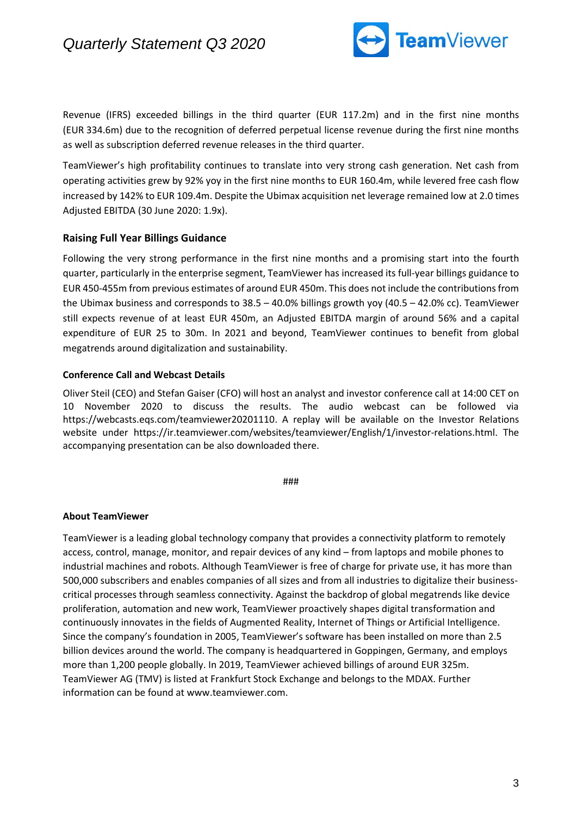

Revenue (IFRS) exceeded billings in the third quarter (EUR 117.2m) and in the first nine months (EUR 334.6m) due to the recognition of deferred perpetual license revenue during the first nine months as well as subscription deferred revenue releases in the third quarter.

TeamViewer's high profitability continues to translate into very strong cash generation. Net cash from operating activities grew by 92% yoy in the first nine months to EUR 160.4m, while levered free cash flow increased by 142% to EUR 109.4m. Despite the Ubimax acquisition net leverage remained low at 2.0 times Adjusted EBITDA (30 June 2020: 1.9x).

# **Raising Full Year Billings Guidance**

Following the very strong performance in the first nine months and a promising start into the fourth quarter, particularly in the enterprise segment, TeamViewer has increased its full-year billings guidance to EUR 450-455m from previous estimates of around EUR 450m. This does not include the contributions from the Ubimax business and corresponds to 38.5 – 40.0% billings growth yoy (40.5 – 42.0% cc). TeamViewer still expects revenue of at least EUR 450m, an Adjusted EBITDA margin of around 56% and a capital expenditure of EUR 25 to 30m. In 2021 and beyond, TeamViewer continues to benefit from global megatrends around digitalization and sustainability.

## **Conference Call and Webcast Details**

Oliver Steil (CEO) and Stefan Gaiser (CFO) will host an analyst and investor conference call at 14:00 CET on 10 November 2020 to discuss the results. The audio webcast can be followed via https://webcasts.eqs.com/teamviewer20201110. A replay will be available on the Investor Relations website under https://ir.teamviewer.com/websites/teamviewer/English/1/investor-relations.html. The accompanying presentation can be also downloaded there.

###

#### **About TeamViewer**

TeamViewer is a leading global technology company that provides a connectivity platform to remotely access, control, manage, monitor, and repair devices of any kind – from laptops and mobile phones to industrial machines and robots. Although TeamViewer is free of charge for private use, it has more than 500,000 subscribers and enables companies of all sizes and from all industries to digitalize their businesscritical processes through seamless connectivity. Against the backdrop of global megatrends like device proliferation, automation and new work, TeamViewer proactively shapes digital transformation and continuously innovates in the fields of Augmented Reality, Internet of Things or Artificial Intelligence. Since the company's foundation in 2005, TeamViewer's software has been installed on more than 2.5 billion devices around the world. The company is headquartered in Goppingen, Germany, and employs more than 1,200 people globally. In 2019, TeamViewer achieved billings of around EUR 325m. TeamViewer AG (TMV) is listed at Frankfurt Stock Exchange and belongs to the MDAX. Further information can be found at www.teamviewer.com.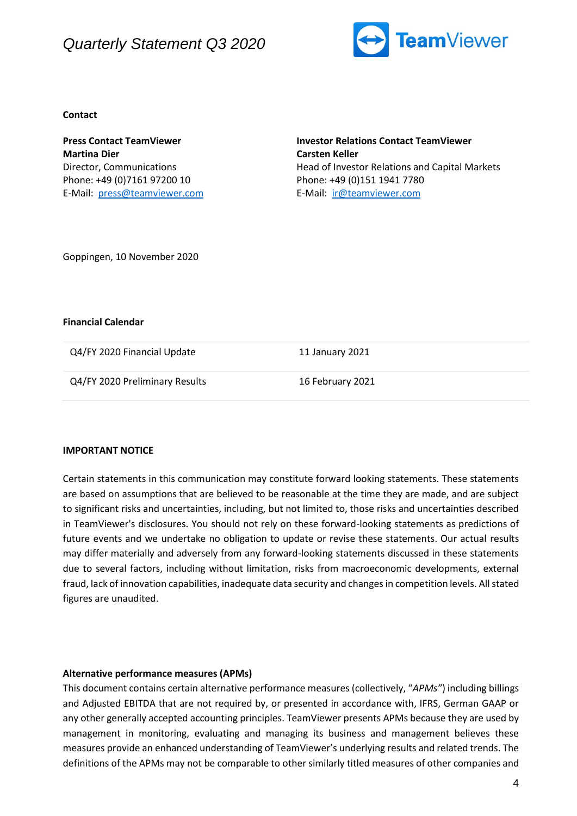# *Quarterly Statement Q3 2020*



**Contact**

**Press Contact TeamViewer Martina Dier** Director, Communications Phone: +49 (0)7161 97200 10 E-Mail: [press@teamviewer.com](mailto:press@teamviewer.com) **Investor Relations Contact TeamViewer Carsten Keller** Head of Investor Relations and Capital Markets Phone: +49 (0)151 1941 7780 E-Mail: [ir@teamviewer.com](mailto:ir@teamviewer.com)

Goppingen, 10 November 2020

#### **Financial Calendar**

Q4/FY 2020 Financial Update 11 January 2021

Q4/FY 2020 Preliminary Results 16 February 2021

**IMPORTANT NOTICE** 

Certain statements in this communication may constitute forward looking statements. These statements are based on assumptions that are believed to be reasonable at the time they are made, and are subject to significant risks and uncertainties, including, but not limited to, those risks and uncertainties described in TeamViewer's disclosures. You should not rely on these forward-looking statements as predictions of future events and we undertake no obligation to update or revise these statements. Our actual results may differ materially and adversely from any forward-looking statements discussed in these statements due to several factors, including without limitation, risks from macroeconomic developments, external fraud, lack of innovation capabilities, inadequate data security and changes in competition levels. All stated figures are unaudited.

#### **Alternative performance measures (APMs)**

This document contains certain alternative performance measures (collectively, "*APMs"*) including billings and Adjusted EBITDA that are not required by, or presented in accordance with, IFRS, German GAAP or any other generally accepted accounting principles. TeamViewer presents APMs because they are used by management in monitoring, evaluating and managing its business and management believes these measures provide an enhanced understanding of TeamViewer's underlying results and related trends. The definitions of the APMs may not be comparable to other similarly titled measures of other companies and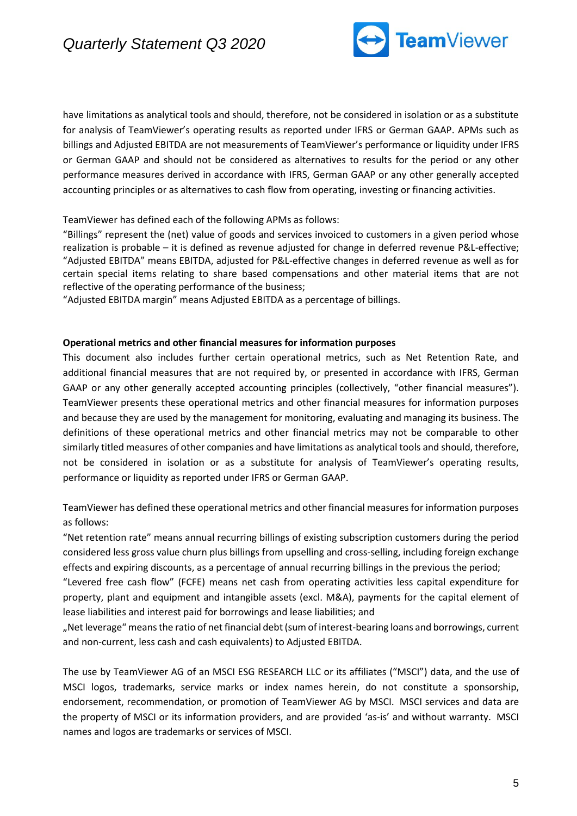

have limitations as analytical tools and should, therefore, not be considered in isolation or as a substitute for analysis of TeamViewer's operating results as reported under IFRS or German GAAP. APMs such as billings and Adjusted EBITDA are not measurements of TeamViewer's performance or liquidity under IFRS or German GAAP and should not be considered as alternatives to results for the period or any other performance measures derived in accordance with IFRS, German GAAP or any other generally accepted accounting principles or as alternatives to cash flow from operating, investing or financing activities.

TeamViewer has defined each of the following APMs as follows:

"Billings" represent the (net) value of goods and services invoiced to customers in a given period whose realization is probable – it is defined as revenue adjusted for change in deferred revenue P&L-effective; "Adjusted EBITDA" means EBITDA, adjusted for P&L-effective changes in deferred revenue as well as for certain special items relating to share based compensations and other material items that are not reflective of the operating performance of the business;

"Adjusted EBITDA margin" means Adjusted EBITDA as a percentage of billings.

#### **Operational metrics and other financial measures for information purposes**

This document also includes further certain operational metrics, such as Net Retention Rate, and additional financial measures that are not required by, or presented in accordance with IFRS, German GAAP or any other generally accepted accounting principles (collectively, "other financial measures"). TeamViewer presents these operational metrics and other financial measures for information purposes and because they are used by the management for monitoring, evaluating and managing its business. The definitions of these operational metrics and other financial metrics may not be comparable to other similarly titled measures of other companies and have limitations as analytical tools and should, therefore, not be considered in isolation or as a substitute for analysis of TeamViewer's operating results, performance or liquidity as reported under IFRS or German GAAP.

TeamViewer has defined these operational metrics and other financial measures for information purposes as follows:

"Net retention rate" means annual recurring billings of existing subscription customers during the period considered less gross value churn plus billings from upselling and cross-selling, including foreign exchange effects and expiring discounts, as a percentage of annual recurring billings in the previous the period;

"Levered free cash flow" (FCFE) means net cash from operating activities less capital expenditure for property, plant and equipment and intangible assets (excl. M&A), payments for the capital element of lease liabilities and interest paid for borrowings and lease liabilities; and

"Net leverage" meansthe ratio of net financial debt (sum of interest-bearing loans and borrowings, current and non-current, less cash and cash equivalents) to Adjusted EBITDA.

The use by TeamViewer AG of an MSCI ESG RESEARCH LLC or its affiliates ("MSCI") data, and the use of MSCI logos, trademarks, service marks or index names herein, do not constitute a sponsorship, endorsement, recommendation, or promotion of TeamViewer AG by MSCI. MSCI services and data are the property of MSCI or its information providers, and are provided 'as-is' and without warranty. MSCI names and logos are trademarks or services of MSCI.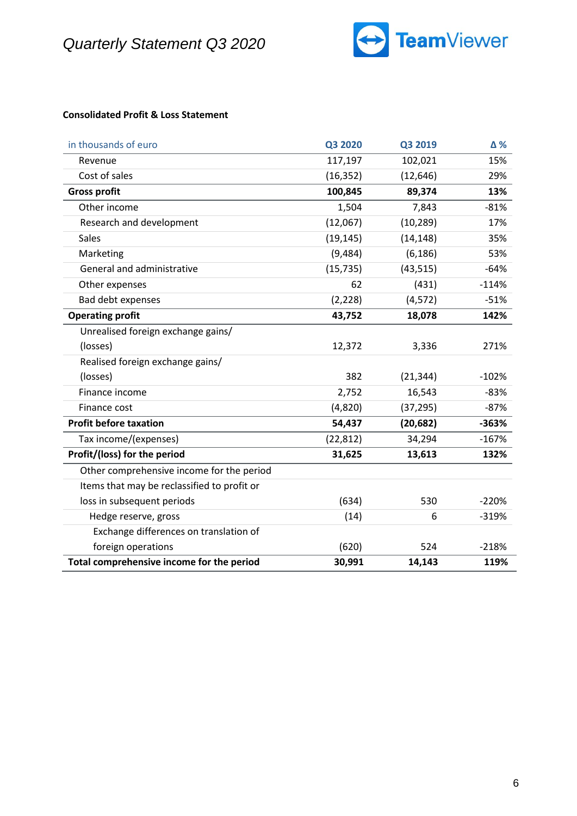# *Quarterly Statement Q3 2020*



# **Consolidated Profit & Loss Statement**

| in thousands of euro                        | Q3 2020   | Q3 2019   | Δ%      |
|---------------------------------------------|-----------|-----------|---------|
| Revenue                                     | 117,197   | 102,021   | 15%     |
| Cost of sales                               | (16, 352) | (12, 646) | 29%     |
| <b>Gross profit</b>                         | 100,845   | 89,374    | 13%     |
| Other income                                | 1,504     | 7,843     | $-81%$  |
| Research and development                    | (12,067)  | (10, 289) | 17%     |
| <b>Sales</b>                                | (19, 145) | (14, 148) | 35%     |
| Marketing                                   | (9,484)   | (6, 186)  | 53%     |
| General and administrative                  | (15, 735) | (43, 515) | $-64%$  |
| Other expenses                              | 62        | (431)     | $-114%$ |
| Bad debt expenses                           | (2, 228)  | (4, 572)  | $-51%$  |
| <b>Operating profit</b>                     | 43,752    | 18,078    | 142%    |
| Unrealised foreign exchange gains/          |           |           |         |
| (losses)                                    | 12,372    | 3,336     | 271%    |
| Realised foreign exchange gains/            |           |           |         |
| (losses)                                    | 382       | (21, 344) | $-102%$ |
| Finance income                              | 2,752     | 16,543    | $-83%$  |
| Finance cost                                | (4,820)   | (37, 295) | $-87%$  |
| <b>Profit before taxation</b>               | 54,437    | (20, 682) | $-363%$ |
| Tax income/(expenses)                       | (22, 812) | 34,294    | $-167%$ |
| Profit/(loss) for the period                | 31,625    | 13,613    | 132%    |
| Other comprehensive income for the period   |           |           |         |
| Items that may be reclassified to profit or |           |           |         |
| loss in subsequent periods                  | (634)     | 530       | $-220%$ |
| Hedge reserve, gross                        | (14)      | 6         | $-319%$ |
| Exchange differences on translation of      |           |           |         |
| foreign operations                          | (620)     | 524       | $-218%$ |
| Total comprehensive income for the period   | 30,991    | 14,143    | 119%    |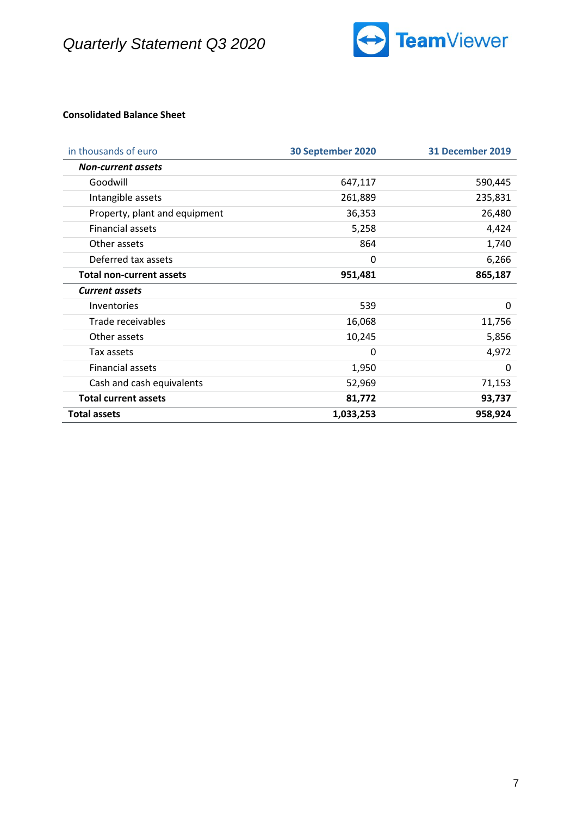



# **Consolidated Balance Sheet**

| in thousands of euro            | 30 September 2020 | <b>31 December 2019</b> |
|---------------------------------|-------------------|-------------------------|
| <b>Non-current assets</b>       |                   |                         |
| Goodwill                        | 647,117           | 590,445                 |
| Intangible assets               | 261,889           | 235,831                 |
| Property, plant and equipment   | 36,353            | 26,480                  |
| <b>Financial assets</b>         | 5,258             | 4,424                   |
| Other assets                    | 864               | 1,740                   |
| Deferred tax assets             | 0                 | 6,266                   |
| <b>Total non-current assets</b> | 951,481           | 865,187                 |
| <b>Current assets</b>           |                   |                         |
| Inventories                     | 539               | 0                       |
| Trade receivables               | 16,068            | 11,756                  |
| Other assets                    | 10,245            | 5,856                   |
| Tax assets                      | 0                 | 4,972                   |
| <b>Financial assets</b>         | 1,950             | 0                       |
| Cash and cash equivalents       | 52,969            | 71,153                  |
| <b>Total current assets</b>     | 81,772            | 93,737                  |
| <b>Total assets</b>             | 1,033,253         | 958,924                 |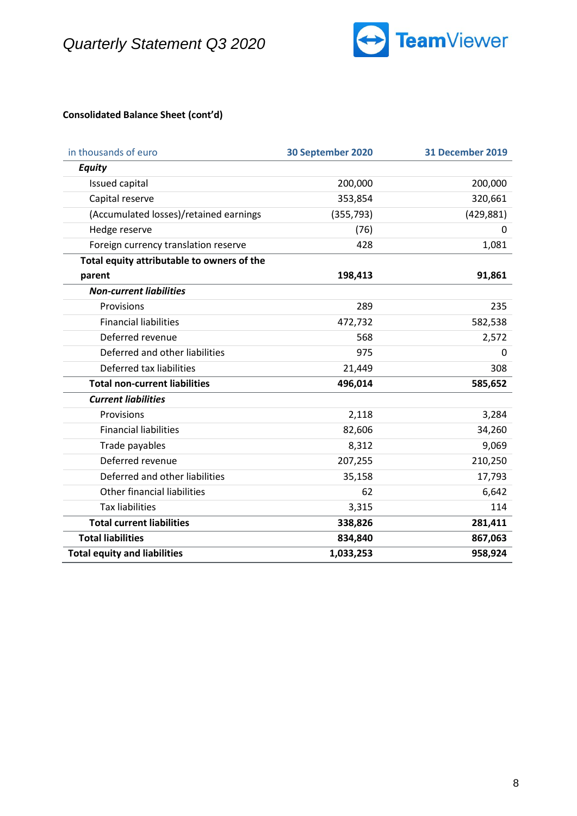



# **Consolidated Balance Sheet (cont'd)**

| in thousands of euro                       | 30 September 2020 | <b>31 December 2019</b> |
|--------------------------------------------|-------------------|-------------------------|
| Equity                                     |                   |                         |
| Issued capital                             | 200,000           | 200,000                 |
| Capital reserve                            | 353,854           | 320,661                 |
| (Accumulated losses)/retained earnings     | (355, 793)        | (429, 881)              |
| Hedge reserve                              | (76)              | 0                       |
| Foreign currency translation reserve       | 428               | 1,081                   |
| Total equity attributable to owners of the |                   |                         |
| parent                                     | 198,413           | 91,861                  |
| <b>Non-current liabilities</b>             |                   |                         |
| Provisions                                 | 289               | 235                     |
| <b>Financial liabilities</b>               | 472,732           | 582,538                 |
| Deferred revenue                           | 568               | 2,572                   |
| Deferred and other liabilities             | 975               | 0                       |
| Deferred tax liabilities                   | 21,449            | 308                     |
| <b>Total non-current liabilities</b>       | 496,014           | 585,652                 |
| <b>Current liabilities</b>                 |                   |                         |
| Provisions                                 | 2,118             | 3,284                   |
| <b>Financial liabilities</b>               | 82,606            | 34,260                  |
| Trade payables                             | 8,312             | 9,069                   |
| Deferred revenue                           | 207,255           | 210,250                 |
| Deferred and other liabilities             | 35,158            | 17,793                  |
| Other financial liabilities                | 62                | 6,642                   |
| <b>Tax liabilities</b>                     | 3,315             | 114                     |
| <b>Total current liabilities</b>           | 338,826           | 281,411                 |
| <b>Total liabilities</b>                   | 834,840           | 867,063                 |
| <b>Total equity and liabilities</b>        | 1,033,253         | 958,924                 |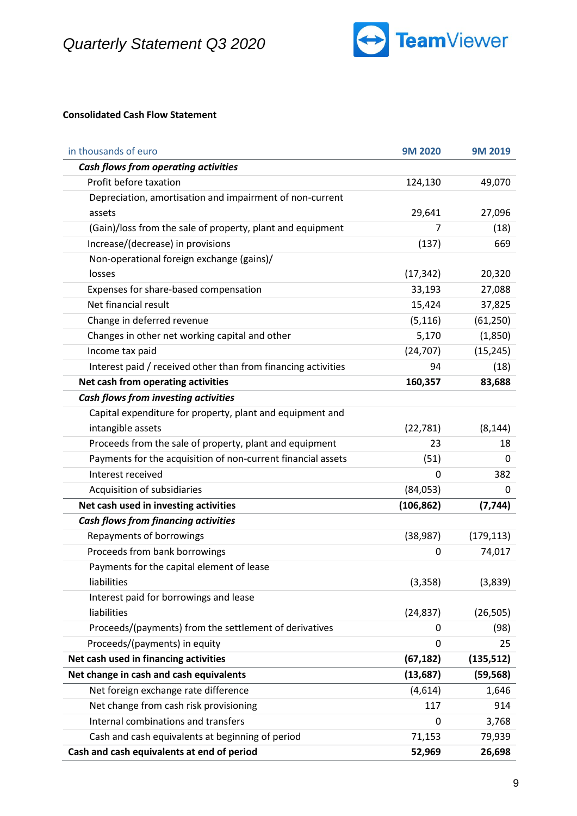

# **Consolidated Cash Flow Statement**

| in thousands of euro                                          | <b>9M 2020</b> | 9M 2019    |
|---------------------------------------------------------------|----------------|------------|
| Cash flows from operating activities                          |                |            |
| Profit before taxation                                        | 124,130        | 49,070     |
| Depreciation, amortisation and impairment of non-current      |                |            |
| assets                                                        | 29,641         | 27,096     |
| (Gain)/loss from the sale of property, plant and equipment    | $\overline{7}$ | (18)       |
| Increase/(decrease) in provisions                             | (137)          | 669        |
| Non-operational foreign exchange (gains)/                     |                |            |
| losses                                                        | (17, 342)      | 20,320     |
| Expenses for share-based compensation                         | 33,193         | 27,088     |
| Net financial result                                          | 15,424         | 37,825     |
| Change in deferred revenue                                    | (5, 116)       | (61, 250)  |
| Changes in other net working capital and other                | 5,170          | (1,850)    |
| Income tax paid                                               | (24, 707)      | (15, 245)  |
| Interest paid / received other than from financing activities | 94             | (18)       |
| Net cash from operating activities                            | 160,357        | 83,688     |
| Cash flows from investing activities                          |                |            |
| Capital expenditure for property, plant and equipment and     |                |            |
| intangible assets                                             | (22, 781)      | (8, 144)   |
| Proceeds from the sale of property, plant and equipment       | 23             | 18         |
| Payments for the acquisition of non-current financial assets  | (51)           | 0          |
| Interest received                                             | 0              | 382        |
| Acquisition of subsidiaries                                   | (84,053)       | 0          |
| Net cash used in investing activities                         | (106, 862)     | (7, 744)   |
| <b>Cash flows from financing activities</b>                   |                |            |
| Repayments of borrowings                                      | (38, 987)      | (179, 113) |
| Proceeds from bank borrowings                                 | 0              | 74,017     |
| Payments for the capital element of lease                     |                |            |
| liabilities                                                   | (3, 358)       | (3,839)    |
| Interest paid for borrowings and lease                        |                |            |
| liabilities                                                   | (24, 837)      | (26, 505)  |
| Proceeds/(payments) from the settlement of derivatives        | 0              | (98)       |
| Proceeds/(payments) in equity                                 | 0              | 25         |
| Net cash used in financing activities                         | (67, 182)      | (135, 512) |
| Net change in cash and cash equivalents                       | (13, 687)      | (59, 568)  |
| Net foreign exchange rate difference                          | (4,614)        | 1,646      |
| Net change from cash risk provisioning                        | 117            | 914        |
| Internal combinations and transfers                           | 0              | 3,768      |
| Cash and cash equivalents at beginning of period              | 71,153         | 79,939     |
| Cash and cash equivalents at end of period                    | 52,969         | 26,698     |